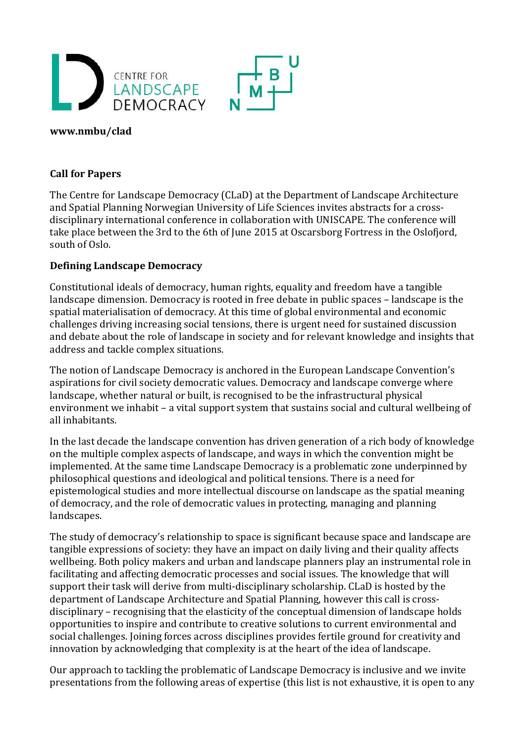

#### **www.nmbu/clad**

#### **Call for Papers**

The Centre for Landscape Democracy (CLaD) at the Department of Landscape Architecture and Spatial Planning Norwegian University of Life Sciences invites abstracts for a crossdisciplinary international conference in collaboration with UNISCAPE. The conference will take place between the 3rd to the 6th of June 2015 at Oscarsborg Fortress in the Oslofjord, south of Oslo.

#### **Defining Landscape Democracy**

Constitutional ideals of democracy, human rights, equality and freedom have a tangible landscape dimension. Democracy is rooted in free debate in public spaces – landscape is the spatial materialisation of democracy. At this time of global environmental and economic challenges driving increasing social tensions, there is urgent need for sustained discussion and debate about the role of landscape in society and for relevant knowledge and insights that address and tackle complex situations.

The notion of Landscape Democracy is anchored in the European Landscape Convention's aspirations for civil society democratic values. Democracy and landscape converge where landscape, whether natural or built, is recognised to be the infrastructural physical environment we inhabit – a vital support system that sustains social and cultural wellbeing of all inhabitants.

In the last decade the landscape convention has driven generation of a rich body of knowledge on the multiple complex aspects of landscape, and ways in which the convention might be implemented. At the same time Landscape Democracy is a problematic zone underpinned by philosophical questions and ideological and political tensions. There is a need for epistemological studies and more intellectual discourse on landscape as the spatial meaning of democracy, and the role of democratic values in protecting, managing and planning landscapes.

The study of democracy's relationship to space is significant because space and landscape are tangible expressions of society: they have an impact on daily living and their quality affects wellbeing. Both policy makers and urban and landscape planners play an instrumental role in facilitating and affecting democratic processes and social issues. The knowledge that will support their task will derive from multi-disciplinary scholarship. CLaD is hosted by the department of Landscape Architecture and Spatial Planning, however this call is crossdisciplinary – recognising that the elasticity of the conceptual dimension of landscape holds opportunities to inspire and contribute to creative solutions to current environmental and social challenges. Joining forces across disciplines provides fertile ground for creativity and innovation by acknowledging that complexity is at the heart of the idea of landscape.

Our approach to tackling the problematic of Landscape Democracy is inclusive and we invite presentations from the following areas of expertise (this list is not exhaustive, it is open to any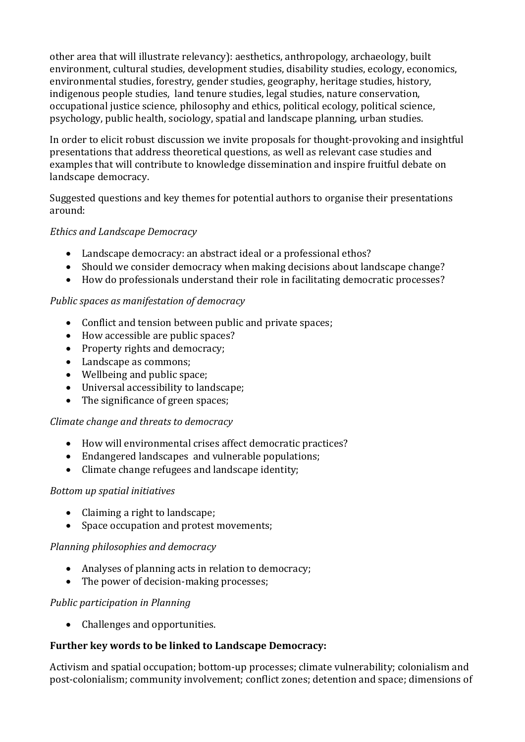other area that will illustrate relevancy): aesthetics, anthropology, archaeology, built environment, cultural studies, development studies, disability studies, ecology, economics, environmental studies, forestry, gender studies, geography, heritage studies, history, indigenous people studies, land tenure studies, legal studies, nature conservation, occupational justice science, philosophy and ethics, political ecology, political science, psychology, public health, sociology, spatial and landscape planning, urban studies.

In order to elicit robust discussion we invite proposals for thought-provoking and insightful presentations that address theoretical questions, as well as relevant case studies and examples that will contribute to knowledge dissemination and inspire fruitful debate on landscape democracy.

Suggested questions and key themes for potential authors to organise their presentations around:

# *Ethics and Landscape Democracy*

- Landscape democracy: an abstract ideal or a professional ethos?
- Should we consider democracy when making decisions about landscape change?
- How do professionals understand their role in facilitating democratic processes?

# *Public spaces as manifestation of democracy*

- Conflict and tension between public and private spaces;
- How accessible are public spaces?
- Property rights and democracy;
- Landscape as commons;
- Wellbeing and public space;
- Universal accessibility to landscape;
- The significance of green spaces;

## *Climate change and threats to democracy*

- How will environmental crises affect democratic practices?
- Endangered landscapes and vulnerable populations;
- Climate change refugees and landscape identity;

## *Bottom up spatial initiatives*

- Claiming a right to landscape;
- Space occupation and protest movements;

## *Planning philosophies and democracy*

- Analyses of planning acts in relation to democracy;
- The power of decision-making processes;

## *Public participation in Planning*

• Challenges and opportunities.

# **Further key words to be linked to Landscape Democracy:**

Activism and spatial occupation; bottom-up processes; climate vulnerability; colonialism and post-colonialism; community involvement; conflict zones; detention and space; dimensions of